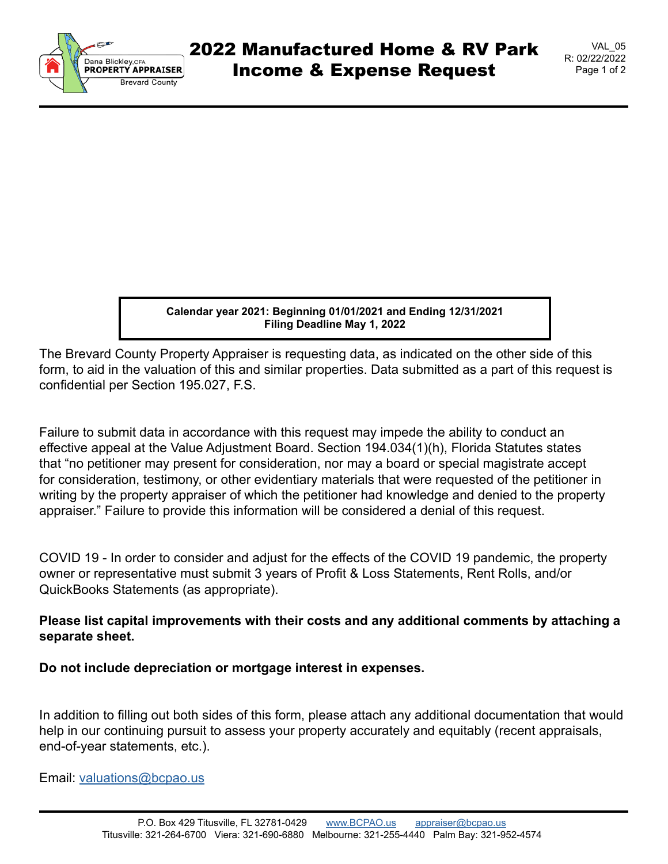

VAL\_05 R: 02/22/2022 Page 1 of 2

**Calendar year 2021: Beginning 01/01/2021 and Ending 12/31/2021 Filing Deadline May 1, 2022**

The Brevard County Property Appraiser is requesting data, as indicated on the other side of this form, to aid in the valuation of this and similar properties. Data submitted as a part of this request is confidential per Section 195.027, F.S.

Failure to submit data in accordance with this request may impede the ability to conduct an effective appeal at the Value Adjustment Board. Section 194.034(1)(h), Florida Statutes states that "no petitioner may present for consideration, nor may a board or special magistrate accept for consideration, testimony, or other evidentiary materials that were requested of the petitioner in writing by the property appraiser of which the petitioner had knowledge and denied to the property appraiser." Failure to provide this information will be considered a denial of this request.

COVID 19 - In order to consider and adjust for the effects of the COVID 19 pandemic, the property owner or representative must submit 3 years of Profit & Loss Statements, Rent Rolls, and/or QuickBooks Statements (as appropriate).

## **Please list capital improvements with their costs and any additional comments by attaching a separate sheet.**

**Do not include depreciation or mortgage interest in expenses.**

In addition to filling out both sides of this form, please attach any additional documentation that would help in our continuing pursuit to assess your property accurately and equitably (recent appraisals, end-of-year statements, etc.).

Email: [valuations@bcpao.us](mailto: valuations@bcpao.us)